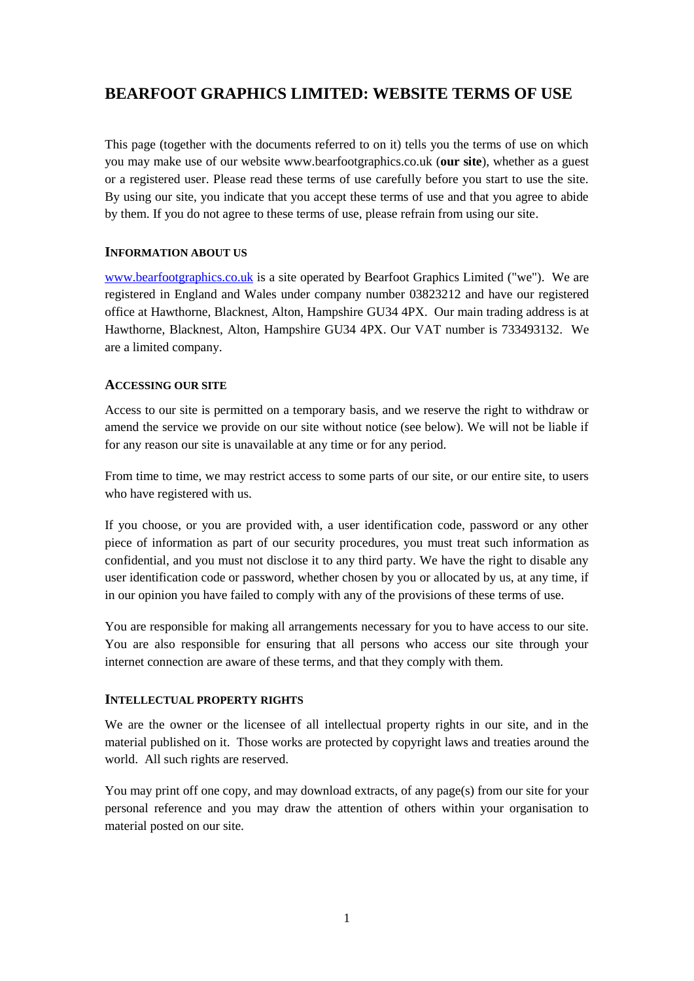# **BEARFOOT GRAPHICS LIMITED: WEBSITE TERMS OF USE**

This page (together with the documents referred to on it) tells you the terms of use on which you may make use of our website www.bearfootgraphics.co.uk (**our site**), whether as a guest or a registered user. Please read these terms of use carefully before you start to use the site. By using our site, you indicate that you accept these terms of use and that you agree to abide by them. If you do not agree to these terms of use, please refrain from using our site.

#### **INFORMATION ABOUT US**

[www.bearfootgraphics.co.uk](http://www.bearfootgraphics.co.uk/) is a site operated by Bearfoot Graphics Limited ("we"). We are registered in England and Wales under company number 03823212 and have our registered office at Hawthorne, Blacknest, Alton, Hampshire GU34 4PX. Our main trading address is at Hawthorne, Blacknest, Alton, Hampshire GU34 4PX. Our VAT number is 733493132. We are a limited company.

#### **ACCESSING OUR SITE**

Access to our site is permitted on a temporary basis, and we reserve the right to withdraw or amend the service we provide on our site without notice (see below). We will not be liable if for any reason our site is unavailable at any time or for any period.

From time to time, we may restrict access to some parts of our site, or our entire site, to users who have registered with us.

If you choose, or you are provided with, a user identification code, password or any other piece of information as part of our security procedures, you must treat such information as confidential, and you must not disclose it to any third party. We have the right to disable any user identification code or password, whether chosen by you or allocated by us, at any time, if in our opinion you have failed to comply with any of the provisions of these terms of use.

You are responsible for making all arrangements necessary for you to have access to our site. You are also responsible for ensuring that all persons who access our site through your internet connection are aware of these terms, and that they comply with them.

#### **INTELLECTUAL PROPERTY RIGHTS**

We are the owner or the licensee of all intellectual property rights in our site, and in the material published on it. Those works are protected by copyright laws and treaties around the world. All such rights are reserved.

You may print off one copy, and may download extracts, of any page(s) from our site for your personal reference and you may draw the attention of others within your organisation to material posted on our site.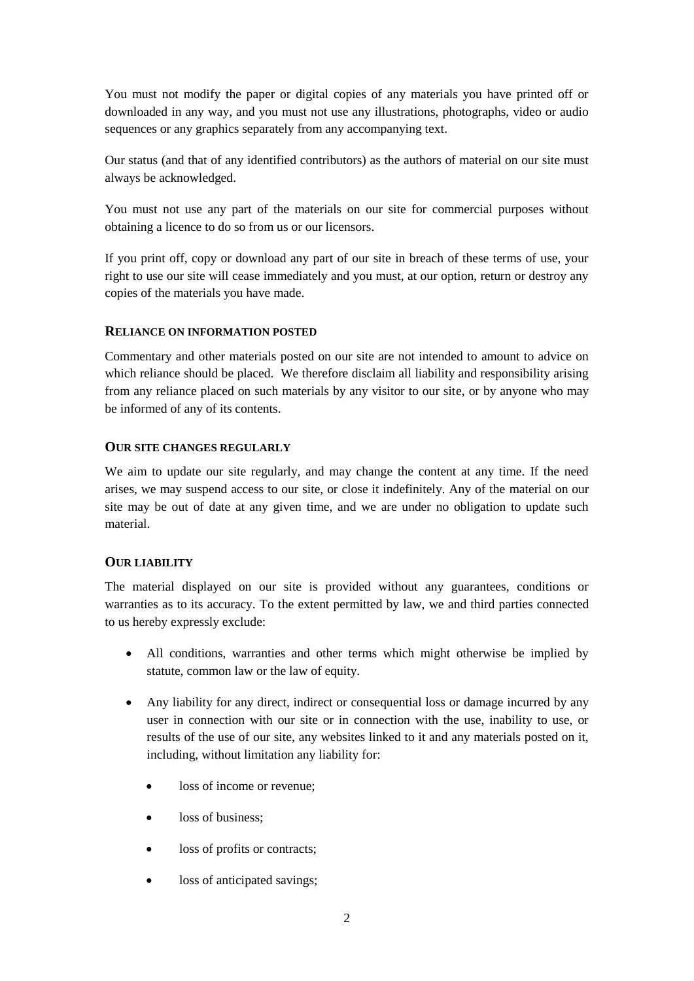You must not modify the paper or digital copies of any materials you have printed off or downloaded in any way, and you must not use any illustrations, photographs, video or audio sequences or any graphics separately from any accompanying text.

Our status (and that of any identified contributors) as the authors of material on our site must always be acknowledged.

You must not use any part of the materials on our site for commercial purposes without obtaining a licence to do so from us or our licensors.

If you print off, copy or download any part of our site in breach of these terms of use, your right to use our site will cease immediately and you must, at our option, return or destroy any copies of the materials you have made.

#### **RELIANCE ON INFORMATION POSTED**

Commentary and other materials posted on our site are not intended to amount to advice on which reliance should be placed. We therefore disclaim all liability and responsibility arising from any reliance placed on such materials by any visitor to our site, or by anyone who may be informed of any of its contents.

#### **OUR SITE CHANGES REGULARLY**

We aim to update our site regularly, and may change the content at any time. If the need arises, we may suspend access to our site, or close it indefinitely. Any of the material on our site may be out of date at any given time, and we are under no obligation to update such material.

#### **OUR LIABILITY**

The material displayed on our site is provided without any guarantees, conditions or warranties as to its accuracy. To the extent permitted by law, we and third parties connected to us hereby expressly exclude:

- All conditions, warranties and other terms which might otherwise be implied by statute, common law or the law of equity.
- Any liability for any direct, indirect or consequential loss or damage incurred by any user in connection with our site or in connection with the use, inability to use, or results of the use of our site, any websites linked to it and any materials posted on it, including, without limitation any liability for:
	- loss of income or revenue:
	- loss of business:
	- loss of profits or contracts;
	- loss of anticipated savings;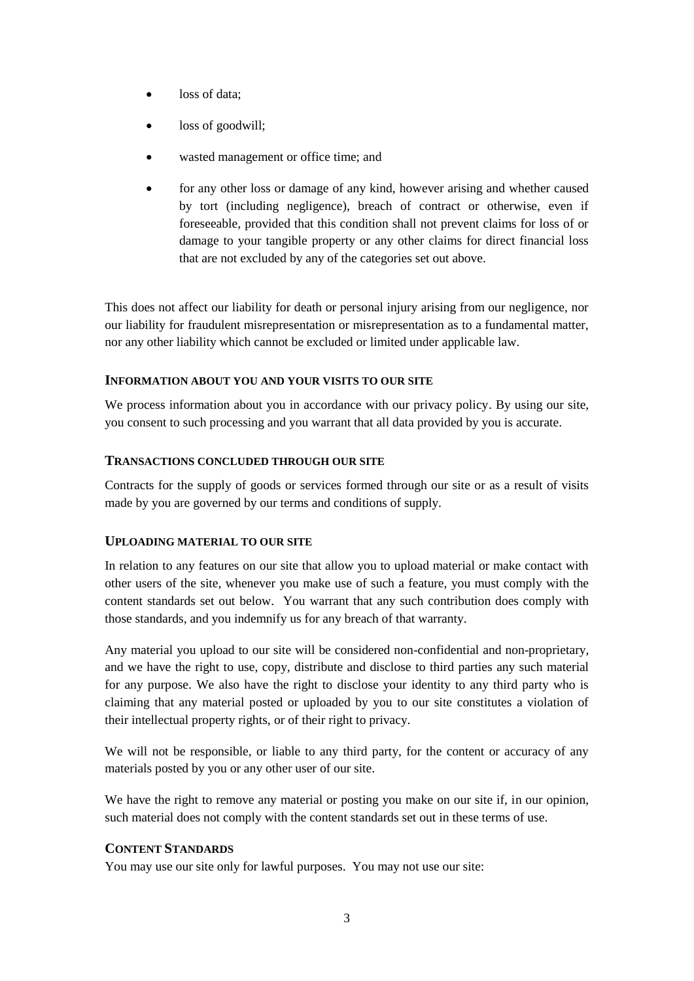- loss of data;
- loss of goodwill;
- wasted management or office time; and
- for any other loss or damage of any kind, however arising and whether caused by tort (including negligence), breach of contract or otherwise, even if foreseeable, provided that this condition shall not prevent claims for loss of or damage to your tangible property or any other claims for direct financial loss that are not excluded by any of the categories set out above.

This does not affect our liability for death or personal injury arising from our negligence, nor our liability for fraudulent misrepresentation or misrepresentation as to a fundamental matter, nor any other liability which cannot be excluded or limited under applicable law.

## **INFORMATION ABOUT YOU AND YOUR VISITS TO OUR SITE**

We process information about you in accordance with our [privacy policy](http://bearfoot-graphics.co.uk/wp-content/uploads/Bearfoot-Graphics-Privacy-Policy-v0.3.pdf). By using our site, you consent to such processing and you warrant that all data provided by you is accurate.

#### **TRANSACTIONS CONCLUDED THROUGH OUR SITE**

Contracts for the supply of goods or services formed through our site or as a result of visits made by you are governed by our [terms and conditions of supply](http://bearfoot-graphics.co.uk/wp-content/uploads/Bearfoot-Graphics-Limited-Terms-and-Conditions-of-Supply-v0.2.pdf).

#### **UPLOADING MATERIAL TO OUR SITE**

In relation to any features on our site that allow you to upload material or make contact with other users of the site, whenever you make use of such a feature, you must comply with the content standards set out below. You warrant that any such contribution does comply with those standards, and you indemnify us for any breach of that warranty.

Any material you upload to our site will be considered non-confidential and non-proprietary, and we have the right to use, copy, distribute and disclose to third parties any such material for any purpose. We also have the right to disclose your identity to any third party who is claiming that any material posted or uploaded by you to our site constitutes a violation of their intellectual property rights, or of their right to privacy.

We will not be responsible, or liable to any third party, for the content or accuracy of any materials posted by you or any other user of our site.

We have the right to remove any material or posting you make on our site if, in our opinion, such material does not comply with the content standards set out in these terms of use.

# **CONTENT STANDARDS**

You may use our site only for lawful purposes. You may not use our site: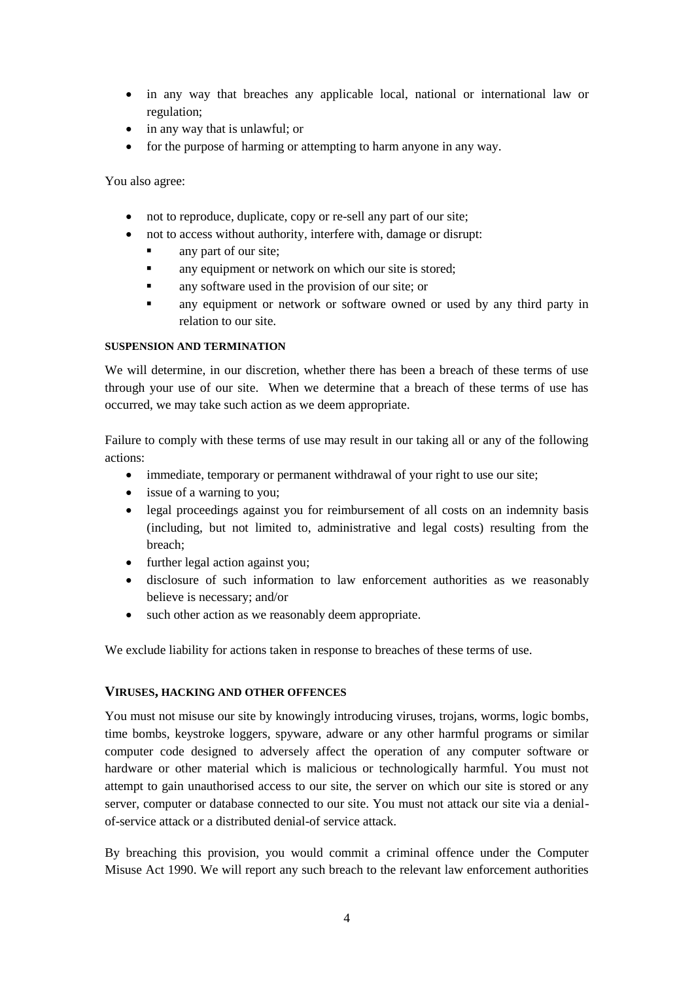- in any way that breaches any applicable local, national or international law or regulation;
- in any way that is unlawful; or
- for the purpose of harming or attempting to harm anyone in any way.

You also agree:

- not to reproduce, duplicate, copy or re-sell any part of our site;
- not to access without authority, interfere with, damage or disrupt:
	- any part of our site;
	- any equipment or network on which our site is stored;
	- **a** any software used in the provision of our site; or
	- any equipment or network or software owned or used by any third party in relation to our site.

#### **SUSPENSION AND TERMINATION**

We will determine, in our discretion, whether there has been a breach of these terms of use through your use of our site. When we determine that a breach of these terms of use has occurred, we may take such action as we deem appropriate.

Failure to comply with these terms of use may result in our taking all or any of the following actions:

- immediate, temporary or permanent withdrawal of your right to use our site;
- issue of a warning to you;
- legal proceedings against you for reimbursement of all costs on an indemnity basis (including, but not limited to, administrative and legal costs) resulting from the breach;
- further legal action against you;
- disclosure of such information to law enforcement authorities as we reasonably believe is necessary; and/or
- such other action as we reasonably deem appropriate.

We exclude liability for actions taken in response to breaches of these terms of use.

#### **VIRUSES, HACKING AND OTHER OFFENCES**

You must not misuse our site by knowingly introducing viruses, trojans, worms, logic bombs, time bombs, keystroke loggers, spyware, adware or any other harmful programs or similar computer code designed to adversely affect the operation of any computer software or hardware or other material which is malicious or technologically harmful. You must not attempt to gain unauthorised access to our site, the server on which our site is stored or any server, computer or database connected to our site. You must not attack our site via a denialof-service attack or a distributed denial-of service attack.

By breaching this provision, you would commit a criminal offence under the Computer Misuse Act 1990. We will report any such breach to the relevant law enforcement authorities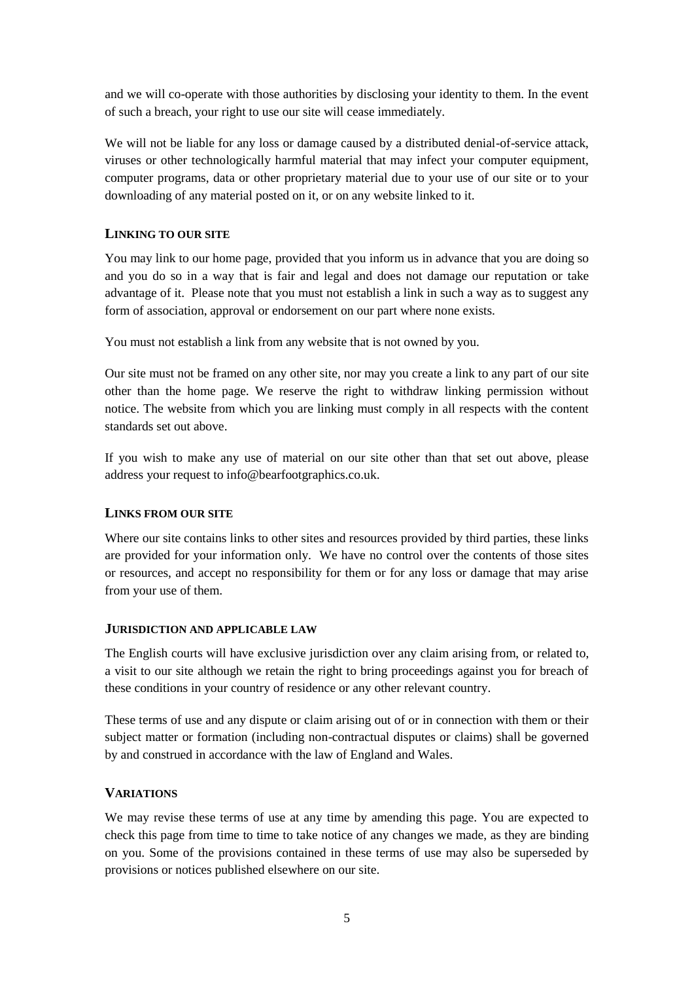and we will co-operate with those authorities by disclosing your identity to them. In the event of such a breach, your right to use our site will cease immediately.

We will not be liable for any loss or damage caused by a distributed denial-of-service attack, viruses or other technologically harmful material that may infect your computer equipment, computer programs, data or other proprietary material due to your use of our site or to your downloading of any material posted on it, or on any website linked to it.

## **LINKING TO OUR SITE**

You may link to our home page, provided that you inform us in advance that you are doing so and you do so in a way that is fair and legal and does not damage our reputation or take advantage of it. Please note that you must not establish a link in such a way as to suggest any form of association, approval or endorsement on our part where none exists.

You must not establish a link from any website that is not owned by you.

Our site must not be framed on any other site, nor may you create a link to any part of our site other than the home page. We reserve the right to withdraw linking permission without notice. The website from which you are linking must comply in all respects with the content standards set out above.

If you wish to make any use of material on our site other than that set out above, please address your request to info@bearfootgraphics.co.uk.

#### **LINKS FROM OUR SITE**

Where our site contains links to other sites and resources provided by third parties, these links are provided for your information only. We have no control over the contents of those sites or resources, and accept no responsibility for them or for any loss or damage that may arise from your use of them.

#### **JURISDICTION AND APPLICABLE LAW**

The English courts will have exclusive jurisdiction over any claim arising from, or related to, a visit to our site although we retain the right to bring proceedings against you for breach of these conditions in your country of residence or any other relevant country.

These terms of use and any dispute or claim arising out of or in connection with them or their subject matter or formation (including non-contractual disputes or claims) shall be governed by and construed in accordance with the law of England and Wales.

#### **VARIATIONS**

We may revise these terms of use at any time by amending this page. You are expected to check this page from time to time to take notice of any changes we made, as they are binding on you. Some of the provisions contained in these terms of use may also be superseded by provisions or notices published elsewhere on our site.